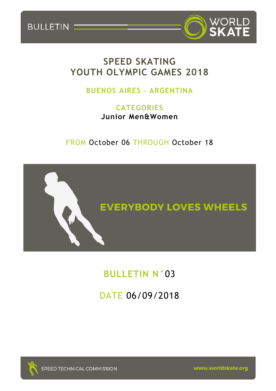

## **SPEED SKATING YOUTH OLYMPIC GAMES 2018**

## **BUENOS AIRES – ARGENTINA**

**CATEGORIES Junior Men&Women**

FROM October 06 THROUGH October 18



# **BULLETIN N°**03

# DATE 06/09/2018



BULLETIN

www.worldskate.org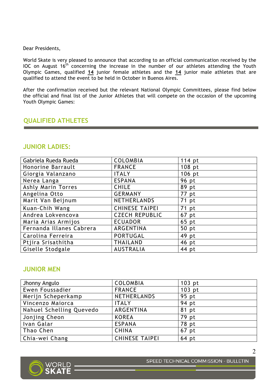#### Dear Presidents,

World Skate is very pleased to announce that according to an official communication received by the IOC on August  $16<sup>th</sup>$  concerning the increase in the number of our athletes attending the Youth Olympic Games, qualified **14** junior female athletes and the **14** junior male athletes that are qualified to attend the event to be held in October in Buenos Aires.

After the confirmation received but the relevant National Olympic Committees, please find below the official and final list of the Junior Athletes that will compete on the occasion of the upcoming Youth Olympic Games:

### **QUALIFIED ATHLETES**

### **JUNIOR LADIES:**

| Gabriela Rueda Rueda     | <b>COLOMBIA</b>       | 114 pt |
|--------------------------|-----------------------|--------|
| Honorine Barrault        | <b>FRANCE</b>         | 108 pt |
| Giorgia Valanzano        | <b>ITALY</b>          | 106 pt |
| Nerea Langa              | <b>ESPANA</b>         | 96 pt  |
| Ashly Marin Torres       | <b>CHILE</b>          | 89 pt  |
| Angelina Otto            | <b>GERMANY</b>        | 77 pt  |
| Marit Van Beijnum        | NETHERLANDS           | 71 pt  |
| Kuan-Chih Wang           | <b>CHINESE TAIPEI</b> | 71 pt  |
| Andrea Lokvencova        | <b>CZECH REPUBLIC</b> | 67 pt  |
| Maria Arias Armijos      | <b>ECUADOR</b>        | 65 pt  |
| Fernanda Illanes Cabrera | ARGENTINA             | 50 pt  |
| Carolina Ferreira        | <b>PORTUGAL</b>       | 49 pt  |
| Ptjira Srisathitha       | <b>THAILAND</b>       | 46 pt  |
| Giselle Stodgale         | <b>AUSTRALIA</b>      | 44 pt  |

### **JUNIOR MEN**

| Jhonny Angulo            | <b>COLOMBIA</b>       | $103$ pt |
|--------------------------|-----------------------|----------|
| Ewen Foussadier          | <b>FRANCE</b>         | 103 pt   |
| Merijn Scheperkamp       | NETHERLANDS           | 95 pt    |
| Vincenzo Maiorca         | <b>ITALY</b>          | 94 pt    |
| Nahuel Schelling Quevedo | ARGENTINA             | 81 pt    |
| Jonjing Cheon            | <b>KOREA</b>          | 79 pt    |
| Ivan Galar               | <b>ESPANA</b>         | 78 pt    |
| Thao Chen                | <b>CHINA</b>          | 67 pt    |
| Chia-wei Chang           | <b>CHINESE TAIPEI</b> | $64$ pt  |